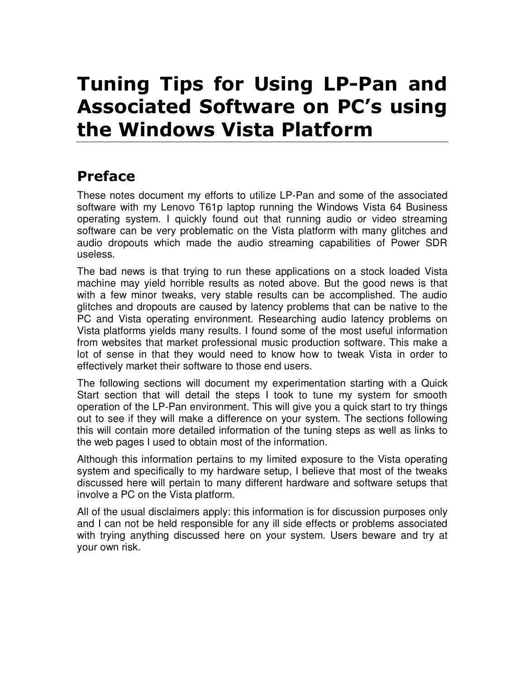# Tuning Tips for Using LP-Pan and Associated Software on PC's using the Windows Vista Platform

## Preface

These notes document my efforts to utilize LP-Pan and some of the associated software with my Lenovo T61p laptop running the Windows Vista 64 Business operating system. I quickly found out that running audio or video streaming software can be very problematic on the Vista platform with many glitches and audio dropouts which made the audio streaming capabilities of Power SDR useless.

The bad news is that trying to run these applications on a stock loaded Vista machine may yield horrible results as noted above. But the good news is that with a few minor tweaks, very stable results can be accomplished. The audio glitches and dropouts are caused by latency problems that can be native to the PC and Vista operating environment. Researching audio latency problems on Vista platforms yields many results. I found some of the most useful information from websites that market professional music production software. This make a lot of sense in that they would need to know how to tweak Vista in order to effectively market their software to those end users.

The following sections will document my experimentation starting with a Quick Start section that will detail the steps I took to tune my system for smooth operation of the LP-Pan environment. This will give you a quick start to try things out to see if they will make a difference on your system. The sections following this will contain more detailed information of the tuning steps as well as links to the web pages I used to obtain most of the information.

Although this information pertains to my limited exposure to the Vista operating system and specifically to my hardware setup, I believe that most of the tweaks discussed here will pertain to many different hardware and software setups that involve a PC on the Vista platform.

All of the usual disclaimers apply: this information is for discussion purposes only and I can not be held responsible for any ill side effects or problems associated with trying anything discussed here on your system. Users beware and try at your own risk.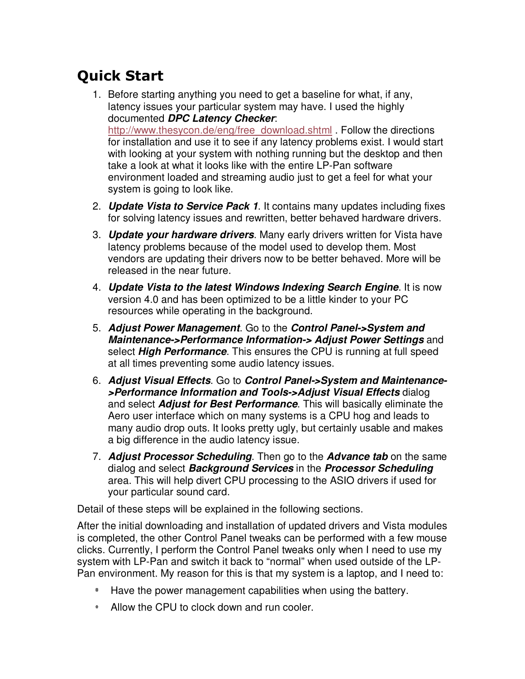# Quick Start

- 1. Before starting anything you need to get a baseline for what, if any, latency issues your particular system may have. I used the highly documented **DPC Latency Checker**: http://www.thesycon.de/eng/free\_download.shtml . Follow the directions for installation and use it to see if any latency problems exist. I would start with looking at your system with nothing running but the desktop and then take a look at what it looks like with the entire LP-Pan software environment loaded and streaming audio just to get a feel for what your system is going to look like.
- 2. **Update Vista to Service Pack 1**. It contains many updates including fixes for solving latency issues and rewritten, better behaved hardware drivers.
- 3. **Update your hardware drivers**. Many early drivers written for Vista have latency problems because of the model used to develop them. Most vendors are updating their drivers now to be better behaved. More will be released in the near future.
- 4. **Update Vista to the latest Windows Indexing Search Engine**. It is now version 4.0 and has been optimized to be a little kinder to your PC resources while operating in the background.
- 5. **Adjust Power Management**. Go to the **Control Panel->System and Maintenance->Performance Information-> Adjust Power Settings** and select **High Performance**. This ensures the CPU is running at full speed at all times preventing some audio latency issues.
- 6. **Adjust Visual Effects**. Go to **Control Panel->System and Maintenance- >Performance Information and Tools->Adjust Visual Effects** dialog and select **Adjust for Best Performance**. This will basically eliminate the Aero user interface which on many systems is a CPU hog and leads to many audio drop outs. It looks pretty ugly, but certainly usable and makes a big difference in the audio latency issue.
- 7. **Adjust Processor Scheduling**. Then go to the **Advance tab** on the same dialog and select **Background Services** in the **Processor Scheduling** area. This will help divert CPU processing to the ASIO drivers if used for your particular sound card.

Detail of these steps will be explained in the following sections.

After the initial downloading and installation of updated drivers and Vista modules is completed, the other Control Panel tweaks can be performed with a few mouse clicks. Currently, I perform the Control Panel tweaks only when I need to use my system with LP-Pan and switch it back to "normal" when used outside of the LP-Pan environment. My reason for this is that my system is a laptop, and I need to:

- Have the power management capabilities when using the battery.
- Allow the CPU to clock down and run cooler.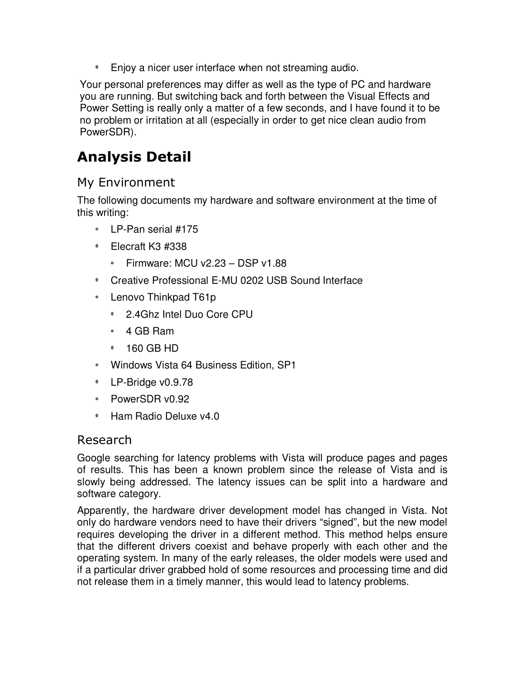**Enjoy a nicer user interface when not streaming audio.** 

Your personal preferences may differ as well as the type of PC and hardware you are running. But switching back and forth between the Visual Effects and Power Setting is really only a matter of a few seconds, and I have found it to be no problem or irritation at all (especially in order to get nice clean audio from PowerSDR).

# Analysis Detail

#### My Environment

The following documents my hardware and software environment at the time of this writing:

- LP-Pan serial #175
- Elecraft K3 #338
	- Firmware: MCU v2.23  $-$  DSP v1.88
- Creative Professional E-MU 0202 USB Sound Interface
- Lenovo Thinkpad T61p
	- 2.4Ghz Intel Duo Core CPU
	- 4 GB Ram
	- 160 GB HD
- Windows Vista 64 Business Edition, SP1
- **LP-Bridge v0.9.78**
- PowerSDR v0.92
- \* Ham Radio Deluxe v4.0

#### Research

Google searching for latency problems with Vista will produce pages and pages of results. This has been a known problem since the release of Vista and is slowly being addressed. The latency issues can be split into a hardware and software category.

Apparently, the hardware driver development model has changed in Vista. Not only do hardware vendors need to have their drivers "signed", but the new model requires developing the driver in a different method. This method helps ensure that the different drivers coexist and behave properly with each other and the operating system. In many of the early releases, the older models were used and if a particular driver grabbed hold of some resources and processing time and did not release them in a timely manner, this would lead to latency problems.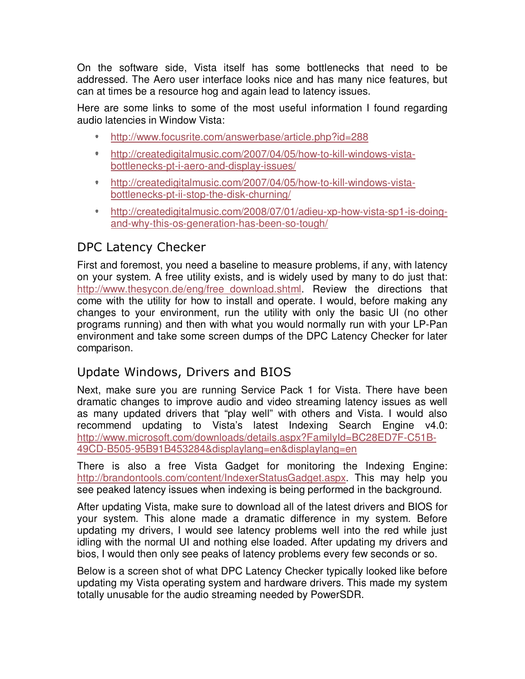On the software side, Vista itself has some bottlenecks that need to be addressed. The Aero user interface looks nice and has many nice features, but can at times be a resource hog and again lead to latency issues.

Here are some links to some of the most useful information I found regarding audio latencies in Window Vista:

- http://www.focusrite.com/answerbase/article.php?id=288
- http://createdigitalmusic.com/2007/04/05/how-to-kill-windows-vista- $\mathbf{0}$  . bottlenecks-pt-i-aero-and-display-issues/
- http://createdigitalmusic.com/2007/04/05/how-to-kill-windows-vista- $\Phi$  . bottlenecks-pt-ii-stop-the-disk-churning/
- $\Phi_{\rm{eff}}$ http://createdigitalmusic.com/2008/07/01/adieu-xp-how-vista-sp1-is-doingand-why-this-os-generation-has-been-so-tough/

### DPC Latency Checker

First and foremost, you need a baseline to measure problems, if any, with latency on your system. A free utility exists, and is widely used by many to do just that: http://www.thesycon.de/eng/free\_download.shtml. Review the directions that come with the utility for how to install and operate. I would, before making any changes to your environment, run the utility with only the basic UI (no other programs running) and then with what you would normally run with your LP-Pan environment and take some screen dumps of the DPC Latency Checker for later comparison.

### Update Windows, Drivers and BIOS

Next, make sure you are running Service Pack 1 for Vista. There have been dramatic changes to improve audio and video streaming latency issues as well as many updated drivers that "play well" with others and Vista. I would also recommend updating to Vista's latest Indexing Search Engine v4.0: http://www.microsoft.com/downloads/details.aspx?FamilyId=BC28ED7F-C51B-49CD-B505-95B91B453284&displaylang=en&displaylang=en

There is also a free Vista Gadget for monitoring the Indexing Engine: http://brandontools.com/content/IndexerStatusGadget.aspx. This may help you see peaked latency issues when indexing is being performed in the background.

After updating Vista, make sure to download all of the latest drivers and BIOS for your system. This alone made a dramatic difference in my system. Before updating my drivers, I would see latency problems well into the red while just idling with the normal UI and nothing else loaded. After updating my drivers and bios, I would then only see peaks of latency problems every few seconds or so.

Below is a screen shot of what DPC Latency Checker typically looked like before updating my Vista operating system and hardware drivers. This made my system totally unusable for the audio streaming needed by PowerSDR.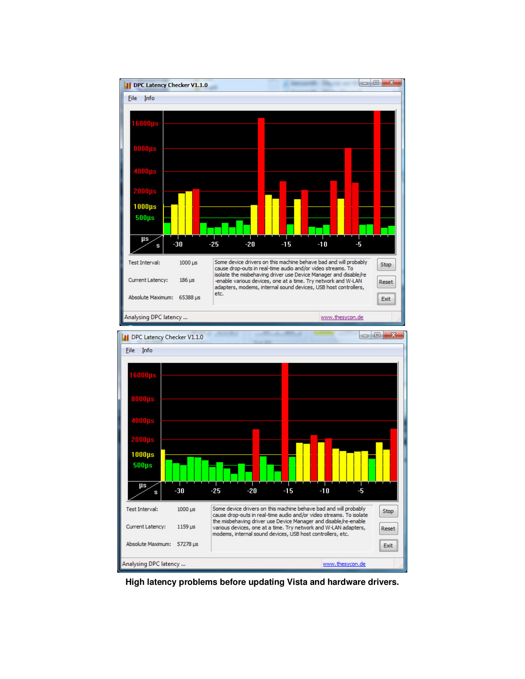

**High latency problems before updating Vista and hardware drivers.**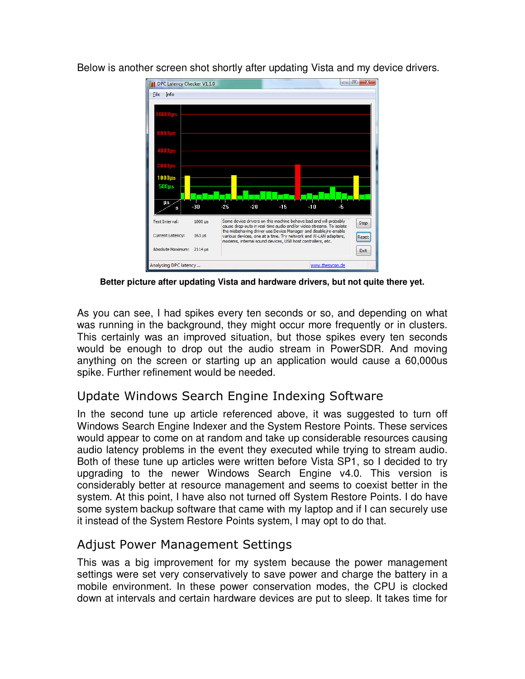

Below is another screen shot shortly after updating Vista and my device drivers.

**Better picture after updating Vista and hardware drivers, but not quite there yet.** 

As you can see, I had spikes every ten seconds or so, and depending on what was running in the background, they might occur more frequently or in clusters. This certainly was an improved situation, but those spikes every ten seconds would be enough to drop out the audio stream in PowerSDR. And moving anything on the screen or starting up an application would cause a 60,000us spike. Further refinement would be needed.

#### Update Windows Search Engine Indexing Software

In the second tune up article referenced above, it was suggested to turn off Windows Search Engine Indexer and the System Restore Points. These services would appear to come on at random and take up considerable resources causing audio latency problems in the event they executed while trying to stream audio. Both of these tune up articles were written before Vista SP1, so I decided to try upgrading to the newer Windows Search Engine v4.0. This version is considerably better at resource management and seems to coexist better in the system. At this point, I have also not turned off System Restore Points. I do have some system backup software that came with my laptop and if I can securely use it instead of the System Restore Points system, I may opt to do that.

#### Adjust Power Management Settings

This was a big improvement for my system because the power management settings were set very conservatively to save power and charge the battery in a mobile environment. In these power conservation modes, the CPU is clocked down at intervals and certain hardware devices are put to sleep. It takes time for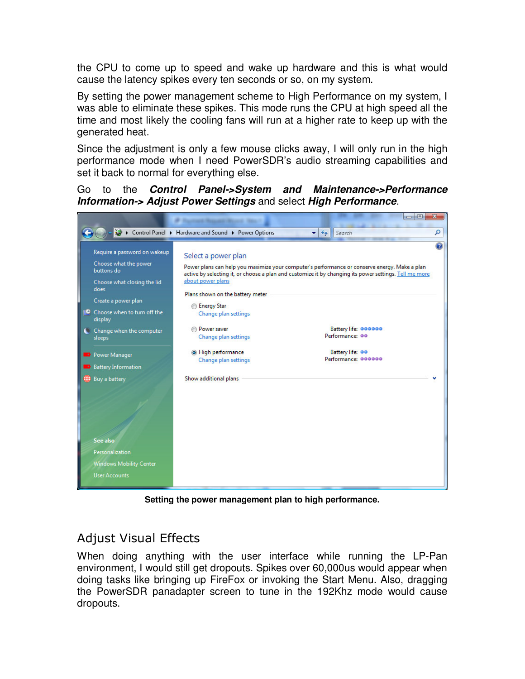the CPU to come up to speed and wake up hardware and this is what would cause the latency spikes every ten seconds or so, on my system.

By setting the power management scheme to High Performance on my system, I was able to eliminate these spikes. This mode runs the CPU at high speed all the time and most likely the cooling fans will run at a higher rate to keep up with the generated heat.

Since the adjustment is only a few mouse clicks away, I will only run in the high performance mode when I need PowerSDR's audio streaming capabilities and set it back to normal for everything else.

Go to the **Control Panel->System and Maintenance->Performance Information-> Adjust Power Settings** and select **High Performance**.



**Setting the power management plan to high performance.** 

#### Adjust Visual Effects

When doing anything with the user interface while running the LP-Pan environment, I would still get dropouts. Spikes over 60,000us would appear when doing tasks like bringing up FireFox or invoking the Start Menu. Also, dragging the PowerSDR panadapter screen to tune in the 192Khz mode would cause dropouts.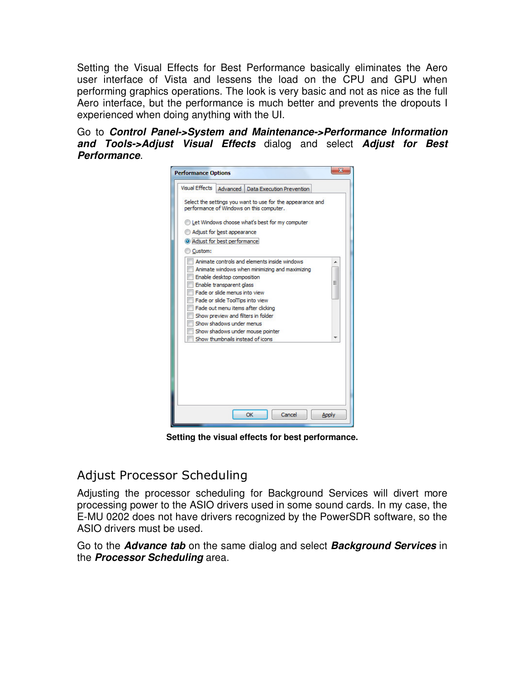Setting the Visual Effects for Best Performance basically eliminates the Aero user interface of Vista and lessens the load on the CPU and GPU when performing graphics operations. The look is very basic and not as nice as the full Aero interface, but the performance is much better and prevents the dropouts I experienced when doing anything with the UI.

Go to **Control Panel->System and Maintenance->Performance Information and Tools->Adjust Visual Effects** dialog and select **Adjust for Best Performance**.

| <b>Performance Options</b>    |                                                                                                        |              |  |  |  |  |  |
|-------------------------------|--------------------------------------------------------------------------------------------------------|--------------|--|--|--|--|--|
| Visual Effects                | Advanced   Data Execution Prevention                                                                   |              |  |  |  |  |  |
|                               | Select the settings you want to use for the appearance and<br>performance of Windows on this computer. |              |  |  |  |  |  |
|                               | Let Windows choose what's best for my computer                                                         |              |  |  |  |  |  |
|                               | Adjust for best appearance                                                                             |              |  |  |  |  |  |
|                               | Adjust for best performance                                                                            |              |  |  |  |  |  |
| Custom:                       |                                                                                                        |              |  |  |  |  |  |
|                               | Animate controls and elements inside windows                                                           |              |  |  |  |  |  |
|                               | Animate windows when minimizing and maximizing                                                         |              |  |  |  |  |  |
|                               | Enable desktop composition                                                                             |              |  |  |  |  |  |
| Ξ<br>Enable transparent glass |                                                                                                        |              |  |  |  |  |  |
|                               | Fade or slide menus into view                                                                          |              |  |  |  |  |  |
|                               | Fade or slide ToolTips into view                                                                       |              |  |  |  |  |  |
|                               | Fade out menu items after clicking                                                                     |              |  |  |  |  |  |
|                               | Show preview and filters in folder                                                                     |              |  |  |  |  |  |
|                               | Show shadows under menus                                                                               |              |  |  |  |  |  |
|                               | Show shadows under mouse pointer                                                                       |              |  |  |  |  |  |
|                               | Show thumbnails instead of icons                                                                       |              |  |  |  |  |  |
|                               |                                                                                                        |              |  |  |  |  |  |
|                               | OK<br>Cancel                                                                                           | <b>Apply</b> |  |  |  |  |  |

**Setting the visual effects for best performance.** 

#### Adjust Processor Scheduling

Adjusting the processor scheduling for Background Services will divert more processing power to the ASIO drivers used in some sound cards. In my case, the E-MU 0202 does not have drivers recognized by the PowerSDR software, so the ASIO drivers must be used.

Go to the **Advance tab** on the same dialog and select **Background Services** in the **Processor Scheduling** area.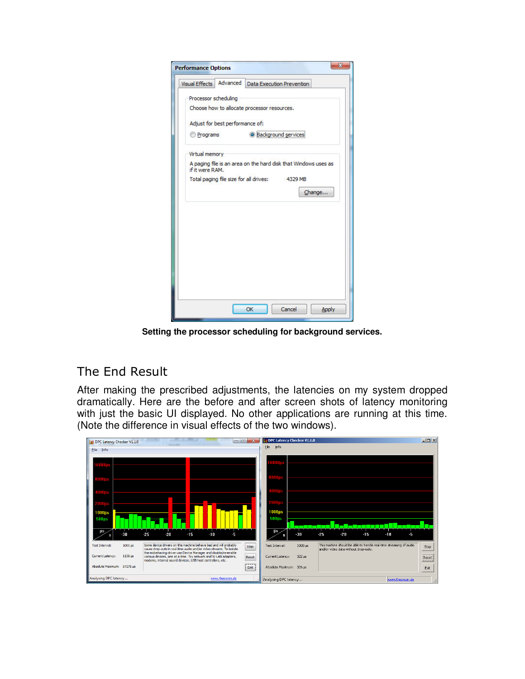| <b>Visual Effects</b> | Advanced                        | <b>Data Execution Prevention</b>                               |
|-----------------------|---------------------------------|----------------------------------------------------------------|
| Processor scheduling  |                                 |                                                                |
|                       |                                 | Choose how to allocate processor resources.                    |
|                       | Adjust for best performance of: |                                                                |
| <b>Programs</b>       |                                 | <sup>O</sup> Background services                               |
| Virtual memory        |                                 |                                                                |
| if it were RAM.       |                                 | A paging file is an area on the hard disk that Windows uses as |
|                       |                                 | Total paging file size for all drives: 4329 MB                 |
|                       |                                 | Change                                                         |
|                       |                                 |                                                                |
|                       |                                 |                                                                |
|                       |                                 |                                                                |
|                       |                                 |                                                                |
|                       |                                 |                                                                |
|                       |                                 |                                                                |
|                       |                                 |                                                                |
|                       |                                 |                                                                |
|                       |                                 |                                                                |

**Setting the processor scheduling for background services.** 

### The End Result

After making the prescribed adjustments, the latencies on my system dropped dramatically. Here are the before and after screen shots of latency monitoring with just the basic UI displayed. No other applications are running at this time. (Note the difference in visual effects of the two windows).

| 11 DPC Latency Checker V1.1.0<br>Eile Info |                         |                                                                                                                                                                                                  |       |       |       |                 | $\Box$ $B$     | File<br>Info              | I DPC Latency Checker V1.1.0 |                                      |       |                                                                    |                 | $\Box$ D $\times$ |
|--------------------------------------------|-------------------------|--------------------------------------------------------------------------------------------------------------------------------------------------------------------------------------------------|-------|-------|-------|-----------------|----------------|---------------------------|------------------------------|--------------------------------------|-------|--------------------------------------------------------------------|-----------------|-------------------|
|                                            |                         |                                                                                                                                                                                                  |       |       |       |                 |                |                           |                              |                                      |       |                                                                    |                 |                   |
|                                            |                         |                                                                                                                                                                                                  |       |       |       |                 |                |                           |                              |                                      |       |                                                                    |                 |                   |
|                                            |                         |                                                                                                                                                                                                  |       |       |       |                 |                |                           |                              |                                      |       |                                                                    |                 |                   |
|                                            |                         |                                                                                                                                                                                                  |       |       |       |                 |                |                           |                              |                                      |       |                                                                    |                 |                   |
| $1000\mu s$<br>$500\mu s$                  |                         |                                                                                                                                                                                                  |       |       |       |                 |                | $1000\mu s$<br>$500\mu s$ |                              |                                      |       |                                                                    |                 |                   |
| μs                                         | $-30$                   | $-25$                                                                                                                                                                                            | $-20$ | $-15$ | $-10$ | -5              |                | <b>US</b><br>s            | $-30$                        | $-25$                                | $-20$ | $-15$                                                              | $-10$<br>-5     |                   |
| <b>Test Interval:</b>                      | $1000 \,\mathrm{\mu s}$ | Some device drivers on this machine behave bad and will probably<br>cause drop-outs in real-time audio and/or video streams. To isolate                                                          |       |       |       | Stop            | Test Interval: | $1000 \,\mathrm{us}$      |                              | and/or video data without drop-outs. |       | This machine should be able to handle real-time streaming of audio | Stop            |                   |
| Current Latency:                           | 1159 us                 | the misbehaving driver use Device Manager and disable/re-enable<br>various devices, one at a time. Try network and W-LAN adapters,<br>modems, internal sound devices, USB host controllers, etc. |       |       |       |                 | Reset          | Current Latency:          | $322 \mu s$                  |                                      |       |                                                                    |                 | Reset             |
| Absolute Maximum: 57278 us                 |                         |                                                                                                                                                                                                  |       |       |       |                 | Exit           | Absolute Maximum: 326 us  |                              |                                      |       |                                                                    |                 | Exit              |
| Analysing DPC latency                      |                         |                                                                                                                                                                                                  |       |       |       | www.thesycon.de |                | Analysing DPC latency     |                              |                                      |       |                                                                    | www.thesycon.de |                   |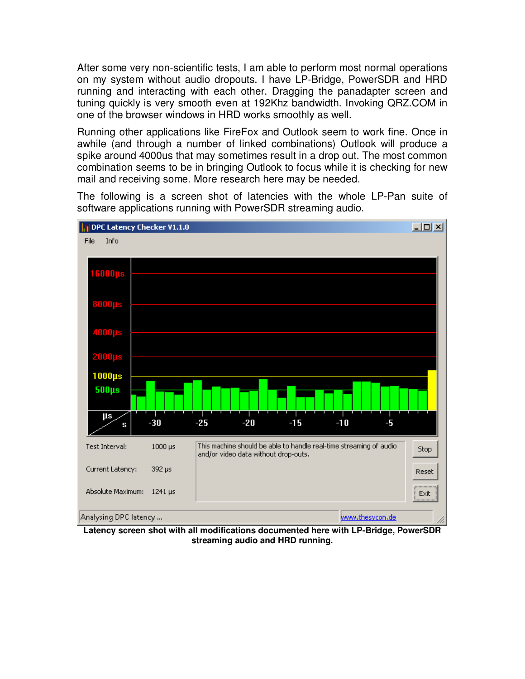After some very non-scientific tests, I am able to perform most normal operations on my system without audio dropouts. I have LP-Bridge, PowerSDR and HRD running and interacting with each other. Dragging the panadapter screen and tuning quickly is very smooth even at 192Khz bandwidth. Invoking QRZ.COM in one of the browser windows in HRD works smoothly as well.

Running other applications like FireFox and Outlook seem to work fine. Once in awhile (and through a number of linked combinations) Outlook will produce a spike around 4000us that may sometimes result in a drop out. The most common combination seems to be in bringing Outlook to focus while it is checking for new mail and receiving some. More research here may be needed.

The following is a screen shot of latencies with the whole LP-Pan suite of software applications running with PowerSDR streaming audio.



**Latency screen shot with all modifications documented here with LP-Bridge, PowerSDR streaming audio and HRD running.**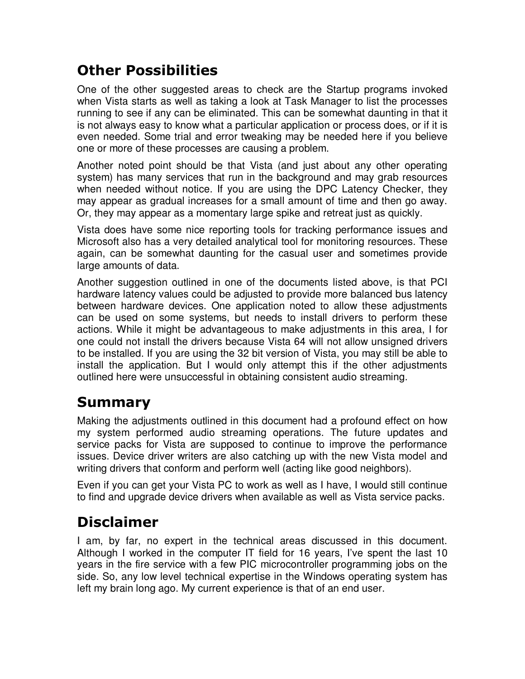# Other Possibilities

One of the other suggested areas to check are the Startup programs invoked when Vista starts as well as taking a look at Task Manager to list the processes running to see if any can be eliminated. This can be somewhat daunting in that it is not always easy to know what a particular application or process does, or if it is even needed. Some trial and error tweaking may be needed here if you believe one or more of these processes are causing a problem.

Another noted point should be that Vista (and just about any other operating system) has many services that run in the background and may grab resources when needed without notice. If you are using the DPC Latency Checker, they may appear as gradual increases for a small amount of time and then go away. Or, they may appear as a momentary large spike and retreat just as quickly.

Vista does have some nice reporting tools for tracking performance issues and Microsoft also has a very detailed analytical tool for monitoring resources. These again, can be somewhat daunting for the casual user and sometimes provide large amounts of data.

Another suggestion outlined in one of the documents listed above, is that PCI hardware latency values could be adjusted to provide more balanced bus latency between hardware devices. One application noted to allow these adjustments can be used on some systems, but needs to install drivers to perform these actions. While it might be advantageous to make adjustments in this area, I for one could not install the drivers because Vista 64 will not allow unsigned drivers to be installed. If you are using the 32 bit version of Vista, you may still be able to install the application. But I would only attempt this if the other adjustments outlined here were unsuccessful in obtaining consistent audio streaming.

### Summary

Making the adjustments outlined in this document had a profound effect on how my system performed audio streaming operations. The future updates and service packs for Vista are supposed to continue to improve the performance issues. Device driver writers are also catching up with the new Vista model and writing drivers that conform and perform well (acting like good neighbors).

Even if you can get your Vista PC to work as well as I have, I would still continue to find and upgrade device drivers when available as well as Vista service packs.

# Disclaimer

I am, by far, no expert in the technical areas discussed in this document. Although I worked in the computer IT field for 16 years, I've spent the last 10 years in the fire service with a few PIC microcontroller programming jobs on the side. So, any low level technical expertise in the Windows operating system has left my brain long ago. My current experience is that of an end user.